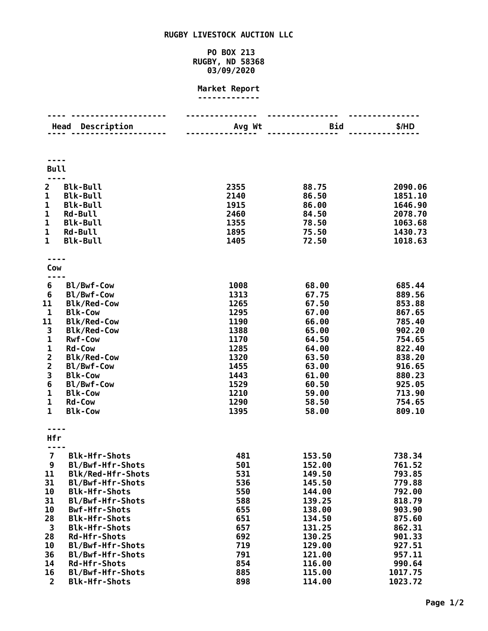# **RUGBY LIVESTOCK AUCTION LLC**

## **PO BOX 213 RUGBY, ND 58368 03/09/2020**

#### **Market Report -------------**

| Description<br>Head     |                                          | Avg Wt       | Bid              | \$/HD              |  |  |  |
|-------------------------|------------------------------------------|--------------|------------------|--------------------|--|--|--|
|                         |                                          |              |                  |                    |  |  |  |
|                         | <b>Bull</b>                              |              |                  |                    |  |  |  |
| $\overline{2}$          | <b>Blk-Bull</b>                          | 2355         | 88.75            | 2090.06            |  |  |  |
| 1                       | <b>Blk-Bull</b>                          | 2140         | 86.50            | 1851.10            |  |  |  |
| $\mathbf{1}$<br>1       | <b>Blk-Bull</b><br><b>Rd-Bull</b>        | 1915<br>2460 | 86.00<br>84.50   | 1646.90<br>2078.70 |  |  |  |
| $\mathbf{1}$            | <b>Blk-Bull</b>                          | 1355         | 78.50            | 1063.68            |  |  |  |
| $\mathbf 1$             | <b>Rd-Bull</b>                           | 1895         | 75.50            | 1430.73            |  |  |  |
| $\mathbf{1}$            | <b>Blk-Bull</b>                          | 1405         | 72.50            | 1018.63            |  |  |  |
|                         |                                          |              |                  |                    |  |  |  |
| Cow                     |                                          |              |                  |                    |  |  |  |
| 6                       | Bl/Bwf-Cow                               | 1008         | 68.00            | 685.44             |  |  |  |
| $6\phantom{1}6$         | Bl/Bwf-Cow                               | 1313         | 67.75            | 889.56             |  |  |  |
| 11                      | <b>Blk/Red-Cow</b>                       | 1265         | 67.50            | 853.88             |  |  |  |
| 1                       | <b>Blk-Cow</b>                           | 1295         | 67.00            | 867.65             |  |  |  |
| 11                      | <b>Blk/Red-Cow</b>                       | 1190         | 66.00            | 785.40             |  |  |  |
| 3                       | <b>Blk/Red-Cow</b>                       | 1388<br>1170 | 65.00            | 902.20             |  |  |  |
| 1<br>1                  | <b>Rwf-Cow</b><br><b>Rd-Cow</b>          | 1285         | 64.50<br>64.00   | 754.65<br>822.40   |  |  |  |
| $\overline{\mathbf{2}}$ | <b>Blk/Red-Cow</b>                       | 1320         | 63.50            | 838.20             |  |  |  |
| $\overline{\mathbf{c}}$ | Bl/Bwf-Cow                               | 1455         | 63.00            | 916.65             |  |  |  |
| 3                       | <b>Blk-Cow</b>                           | 1443         | 61.00            | 880.23             |  |  |  |
| 6                       | Bl/Bwf-Cow                               | 1529         | 60.50            | 925.05             |  |  |  |
| 1                       | <b>Blk-Cow</b>                           | 1210         | 59.00            | 713.90             |  |  |  |
| 1                       | <b>Rd-Cow</b>                            | 1290         | 58.50            | 754.65             |  |  |  |
| $\mathbf{1}$            | <b>Blk-Cow</b>                           | 1395         | 58.00            | 809.10             |  |  |  |
| Hfr                     |                                          |              |                  |                    |  |  |  |
|                         |                                          |              |                  |                    |  |  |  |
| $\overline{7}$          | <b>Blk-Hfr-Shots</b>                     | 481          | 153.50           | 738.34             |  |  |  |
| 9                       | Bl/Bwf-Hfr-Shots                         | 501          | 152.00           | 761.52             |  |  |  |
| 11                      | <b>Blk/Red-Hfr-Shots</b>                 | 531          | 149.50           | 793.85             |  |  |  |
| 31<br>10                | Bl/Bwf-Hfr-Shots<br><b>Blk-Hfr-Shots</b> | 536<br>550   | 145.50<br>144.00 | 779.88<br>792.00   |  |  |  |
| 31                      | Bl/Bwf-Hfr-Shots                         | 588          | 139.25           | 818.79             |  |  |  |
| 10                      | <b>Bwf-Hfr-Shots</b>                     | 655          | 138.00           | 903.90             |  |  |  |
| 28                      | <b>Blk-Hfr-Shots</b>                     | 651          | 134.50           | 875.60             |  |  |  |
| 3                       | <b>Blk-Hfr-Shots</b>                     | 657          | 131.25           | 862.31             |  |  |  |
| 28                      | <b>Rd-Hfr-Shots</b>                      | 692          | 130.25           | 901.33             |  |  |  |
| 10                      | Bl/Bwf-Hfr-Shots                         | 719          | 129.00           | 927.51             |  |  |  |
| 36                      | Bl/Bwf-Hfr-Shots                         | 791          | 121.00           | 957.11             |  |  |  |
| 14                      | Rd-Hfr-Shots                             | 854          | 116.00           | 990.64             |  |  |  |
| 16                      | Bl/Bwf-Hfr-Shots                         | 885          | 115.00           | 1017.75            |  |  |  |
| $\overline{2}$          | <b>Blk-Hfr-Shots</b>                     | 898          | 114.00           | 1023.72            |  |  |  |